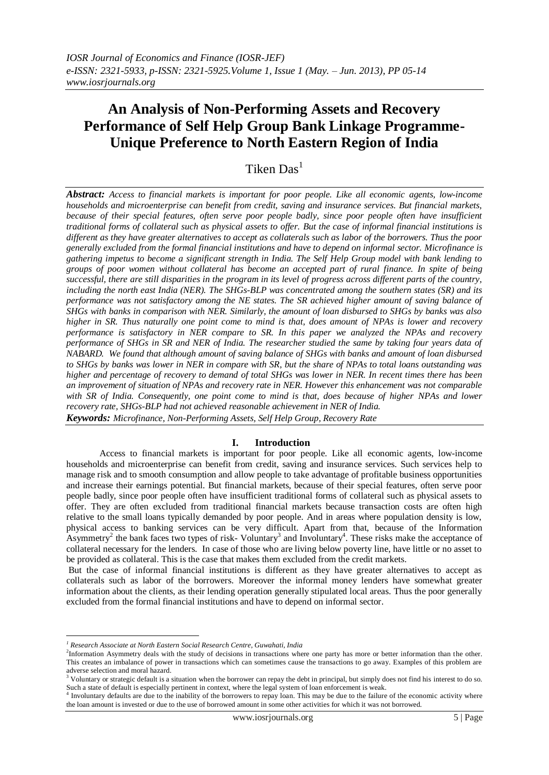# **An Analysis of Non-Performing Assets and Recovery Performance of Self Help Group Bank Linkage Programme-Unique Preference to North Eastern Region of India**

## Tiken Das $<sup>1</sup>$ </sup>

*Abstract: Access to financial markets is important for poor people. Like all economic agents, low-income households and microenterprise can benefit from credit, saving and insurance services. But financial markets, because of their special features, often serve poor people badly, since poor people often have insufficient traditional forms of collateral such as physical assets to offer. But the case of informal financial institutions is different as they have greater alternatives to accept as collaterals such as labor of the borrowers. Thus the poor generally excluded from the formal financial institutions and have to depend on informal sector. Microfinance is gathering impetus to become a significant strength in India. The Self Help Group model with bank lending to groups of poor women without collateral has become an accepted part of rural finance. In spite of being successful, there are still disparities in the program in its level of progress across different parts of the country, including the north east India (NER). The SHGs-BLP was concentrated among the southern states (SR) and its performance was not satisfactory among the NE states. The SR achieved higher amount of saving balance of SHGs with banks in comparison with NER. Similarly, the amount of loan disbursed to SHGs by banks was also higher in SR. Thus naturally one point come to mind is that, does amount of NPAs is lower and recovery performance is satisfactory in NER compare to SR. In this paper we analyzed the NPAs and recovery performance of SHGs in SR and NER of India. The researcher studied the same by taking four years data of NABARD. We found that although amount of saving balance of SHGs with banks and amount of loan disbursed to SHGs by banks was lower in NER in compare with SR, but the share of NPAs to total loans outstanding was higher and percentage of recovery to demand of total SHGs was lower in NER. In recent times there has been an improvement of situation of NPAs and recovery rate in NER. However this enhancement was not comparable with SR of India. Consequently, one point come to mind is that, does because of higher NPAs and lower recovery rate, SHGs-BLP had not achieved reasonable achievement in NER of India. Keywords: Microfinance, Non-Performing Assets, Self Help Group, Recovery Rate*

### **I. Introduction**

Access to financial markets is important for poor people. Like all economic agents, low-income households and microenterprise can benefit from credit, saving and insurance services. Such services help to manage risk and to smooth consumption and allow people to take advantage of profitable business opportunities and increase their earnings potential. But financial markets, because of their special features, often serve poor people badly, since poor people often have insufficient traditional forms of collateral such as physical assets to offer. They are often excluded from traditional financial markets because transaction costs are often high relative to the small loans typically demanded by poor people. And in areas where population density is low, physical access to banking services can be very difficult. Apart from that, because of the Information Asymmetry<sup>2</sup> the bank faces two types of risk-Voluntary<sup>3</sup> and Involuntary<sup>4</sup>. These risks make the acceptance of collateral necessary for the lenders. In case of those who are living below poverty line, have little or no asset to be provided as collateral. This is the case that makes them excluded from the credit markets.

But the case of informal financial institutions is different as they have greater alternatives to accept as collaterals such as labor of the borrowers. Moreover the informal money lenders have somewhat greater information about the clients, as their lending operation generally stipulated local areas. Thus the poor generally excluded from the formal financial institutions and have to depend on informal sector.

1

*<sup>1</sup> Research Associate at North Eastern Social Research Centre, Guwahati, India*

<sup>2</sup> Information Asymmetry deals with the study of decisions in transactions where one party has more or better information than the other. This creates an imbalance of power in transactions which can sometimes cause the transactions to go away. Examples of this problem are adverse selection and moral hazard.

 $3$  Voluntary or strategic default is a situation when the borrower can repay the debt in principal, but simply does not find his interest to do so. Such a state of default is especially pertinent in context, where the legal system of loan enforcement is weak.<br><sup>4</sup> Involuntary defaults are due to the inability of the borrowers to repay loan. This may be due to the failu

the loan amount is invested or due to the use of borrowed amount in some other activities for which it was not borrowed.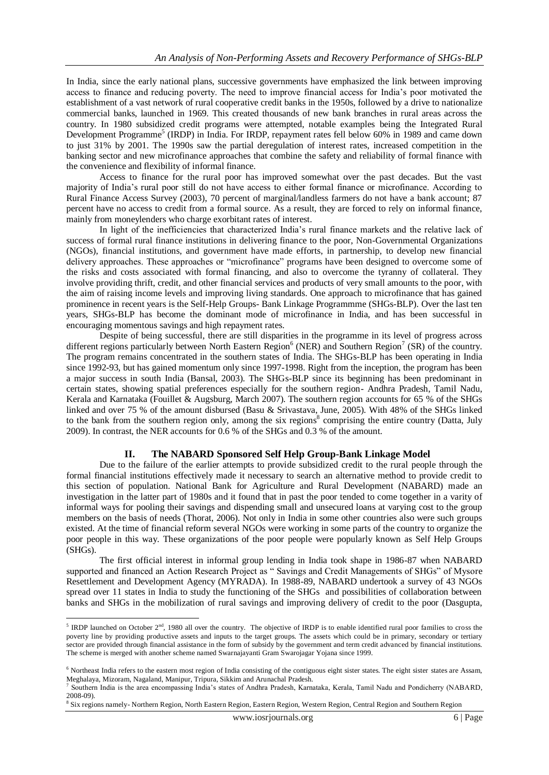In India, since the early national plans, successive governments have emphasized the link between improving access to finance and reducing poverty. The need to improve financial access for India's poor motivated the establishment of a vast network of rural cooperative credit banks in the 1950s, followed by a drive to nationalize commercial banks, launched in 1969. This created thousands of new bank branches in rural areas across the country. In 1980 subsidized credit programs were attempted, notable examples being the Integrated Rural Development Programme<sup>5</sup> (IRDP) in India. For IRDP, repayment rates fell below 60% in 1989 and came down to just 31% by 2001. The 1990s saw the partial deregulation of interest rates, increased competition in the banking sector and new microfinance approaches that combine the safety and reliability of formal finance with the convenience and flexibility of informal finance.

Access to finance for the rural poor has improved somewhat over the past decades. But the vast majority of India's rural poor still do not have access to either formal finance or microfinance. According to Rural Finance Access Survey (2003), 70 percent of marginal/landless farmers do not have a bank account; 87 percent have no access to credit from a formal source. As a result, they are forced to rely on informal finance, mainly from moneylenders who charge exorbitant rates of interest.

In light of the inefficiencies that characterized India's rural finance markets and the relative lack of success of formal rural finance institutions in delivering finance to the poor, Non-Governmental Organizations (NGOs), financial institutions, and government have made efforts, in partnership, to develop new financial delivery approaches. These approaches or "microfinance" programs have been designed to overcome some of the risks and costs associated with formal financing, and also to overcome the tyranny of collateral. They involve providing thrift, credit, and other financial services and products of very small amounts to the poor, with the aim of raising income levels and improving living standards. One approach to microfinance that has gained prominence in recent years is the Self-Help Groups- Bank Linkage Programmme (SHGs-BLP). Over the last ten years, SHGs-BLP has become the dominant mode of microfinance in India, and has been successful in encouraging momentous savings and high repayment rates.

Despite of being successful, there are still disparities in the programme in its level of progress across different regions particularly between North Eastern Region<sup>6</sup> (NER) and Southern Region<sup>7</sup> (SR) of the country. The program remains concentrated in the southern states of India. The SHGs-BLP has been operating in India since 1992-93, but has gained momentum only since 1997-1998. Right from the inception, the program has been a major success in south India (Bansal, 2003). The SHGs-BLP since its beginning has been predominant in certain states, showing spatial preferences especially for the southern region- Andhra Pradesh, Tamil Nadu, Kerala and Karnataka (Fouillet & Augsburg, March 2007). The southern region accounts for 65 % of the SHGs linked and over 75 % of the amount disbursed (Basu & Srivastava, June, 2005). With 48% of the SHGs linked to the bank from the southern region only, among the six regions<sup>8</sup> comprising the entire country (Datta, July 2009). In contrast, the NER accounts for 0.6 % of the SHGs and 0.3 % of the amount.

### **II. The NABARD Sponsored Self Help Group-Bank Linkage Model**

Due to the failure of the earlier attempts to provide subsidized credit to the rural people through the formal financial institutions effectively made it necessary to search an alternative method to provide credit to this section of population. National Bank for Agriculture and Rural Development (NABARD) made an investigation in the latter part of 1980s and it found that in past the poor tended to come together in a varity of informal ways for pooling their savings and dispending small and unsecured loans at varying cost to the group members on the basis of needs (Thorat, 2006). Not only in India in some other countries also were such groups existed. At the time of financial reform several NGOs were working in some parts of the country to organize the poor people in this way. These organizations of the poor people were popularly known as Self Help Groups (SHGs).

The first official interest in informal group lending in India took shape in 1986-87 when NABARD supported and financed an Action Research Project as " Savings and Credit Managements of SHGs" of Mysore Resettlement and Development Agency (MYRADA). In 1988-89, NABARD undertook a survey of 43 NGOs spread over 11 states in India to study the functioning of the SHGs and possibilities of collaboration between banks and SHGs in the mobilization of rural savings and improving delivery of credit to the poor (Dasgupta,

**EXECUTE:** IRDP launched on October  $2^{nd}$ , 1980 all over the country. The objective of IRDP is to enable identified rural poor families to cross the poverty line by providing productive assets and inputs to the target groups. The assets which could be in primary, secondary or tertiary sector are provided through financial assistance in the form of subsidy by the government and term credit advanced by financial institutions. The scheme is merged with another scheme named Swarnajayanti Gram Swarojagar Yojana since 1999.

 $6$  Northeast India refers to the eastern most region of India consisting of the contiguous eight sister states. The eight sister states are Assam, Meghalaya, Mizoram, Nagaland, Manipur, Tripura, Sikkim and Arunachal Pradesh.<br><sup>7</sup> Southern India is the area anonymessing India's states of Andhra Pradesh. Karn

Southern India is the area encompassing India's states of Andhra Pradesh, Karnataka, Kerala, Tamil Nadu and Pondicherry (NABARD, 2008-09).

<sup>&</sup>lt;sup>8</sup> Six regions namely-Northern Region, North Eastern Region, Eastern Region, Western Region, Central Region and Southern Region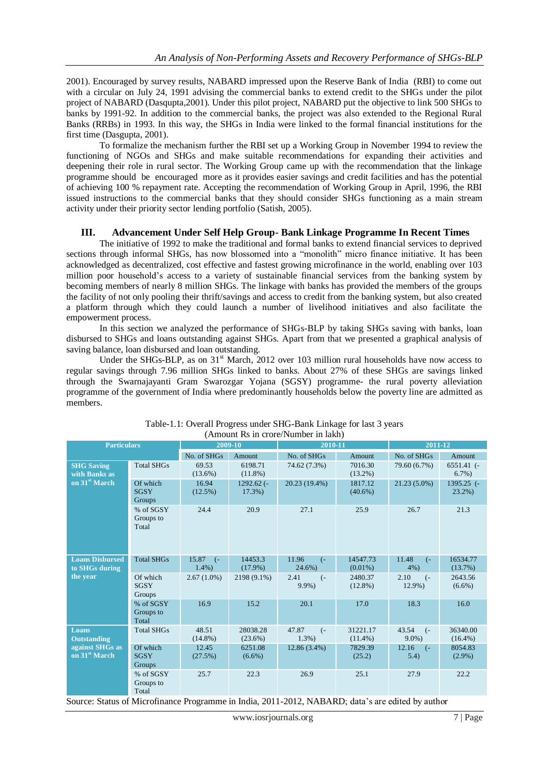2001). Encouraged by survey results, NABARD impressed upon the Reserve Bank of India (RBI) to come out with a circular on July 24, 1991 advising the commercial banks to extend credit to the SHGs under the pilot project of NABARD (Dasqupta,2001). Under this pilot project, NABARD put the objective to link 500 SHGs to banks by 1991-92. In addition to the commercial banks, the project was also extended to the Regional Rural Banks (RRBs) in 1993. In this way, the SHGs in India were linked to the formal financial institutions for the first time (Dasgupta, 2001).

To formalize the mechanism further the RBI set up a Working Group in November 1994 to review the functioning of NGOs and SHGs and make suitable recommendations for expanding their activities and deepening their role in rural sector. The Working Group came up with the recommendation that the linkage programme should be encouraged more as it provides easier savings and credit facilities and has the potential of achieving 100 % repayment rate. Accepting the recommendation of Working Group in April, 1996, the RBI issued instructions to the commercial banks that they should consider SHGs functioning as a main stream activity under their priority sector lending portfolio (Satish, 2005).

### **III. Advancement Under Self Help Group- Bank Linkage Programme In Recent Times**

The initiative of 1992 to make the traditional and formal banks to extend financial services to deprived sections through informal SHGs, has now blossomed into a "monolith" micro finance initiative. It has been acknowledged as decentralized, cost effective and fastest growing microfinance in the world, enabling over 103 million poor household's access to a variety of sustainable financial services from the banking system by becoming members of nearly 8 million SHGs. The linkage with banks has provided the members of the groups the facility of not only pooling their thrift/savings and access to credit from the banking system, but also created a platform through which they could launch a number of livelihood initiatives and also facilitate the empowerment process.

In this section we analyzed the performance of SHGs-BLP by taking SHGs saving with banks, loan disbursed to SHGs and loans outstanding against SHGs. Apart from that we presented a graphical analysis of saving balance, loan disbursed and loan outstanding.

Under the SHGs-BLP, as on 31<sup>st</sup> March, 2012 over 103 million rural households have now access to regular savings through 7.96 million SHGs linked to banks. About 27% of these SHGs are savings linked through the Swarnajayanti Gram Swarozgar Yojana (SGSY) programme- the rural poverty alleviation programme of the government of India where predominantly households below the poverty line are admitted as members.

| <b>Particulars</b>                           |                                   | 2009-10                                |                        | 2010-11                              |                        | 2011-12                              |                           |
|----------------------------------------------|-----------------------------------|----------------------------------------|------------------------|--------------------------------------|------------------------|--------------------------------------|---------------------------|
|                                              |                                   | No. of SHGs                            | Amount                 | No. of SHGs                          | Amount                 | No. of SHGs                          | Amount                    |
| <b>SHG Saving</b><br>with Banks as           | <b>Total SHGs</b>                 | 69.53<br>$(13.6\%)$                    | 6198.71<br>$(11.8\%)$  | 74.62 (7.3%)                         | 7016.30<br>$(13.2\%)$  | 79.60 (6.7%)                         | $6551.41$ (-<br>$6.7\%$ ) |
| on 31 <sup>st</sup> March                    | Of which<br><b>SGSY</b><br>Groups | 16.94<br>(12.5%)                       | $1292.62$ (-<br>17.3%) | 20.23 (19.4%)                        | 1817.12<br>$(40.6\%)$  | $21.23(5.0\%)$                       | $1395.25$ (-<br>$23.2\%)$ |
|                                              | % of SGSY<br>Groups to<br>Total   | 24.4                                   | 20.9                   | 27.1                                 | 25.9                   | 26.7                                 | 21.3                      |
| <b>Loans Disbursed</b><br>to SHGs during     | <b>Total SHGs</b>                 | 15.87<br>$\left( -\right)$<br>$1.4\%)$ | 14453.3<br>$(17.9\%)$  | 11.96<br>$\left( -\right)$<br>24.6%) | 14547.73<br>$(0.01\%)$ | 11.48<br>$\overline{(-)}$<br>$4\%$ ) | 16534.77<br>(13.7%)       |
| the year                                     | Of which<br><b>SGSY</b><br>Groups | $2.67(1.0\%)$                          | 2198 (9.1%)            | 2.41<br>$\left($ -<br>$9.9\%$ )      | 2480.37<br>$(12.8\%)$  | 2.10<br>$\left( -\right)$<br>12.9%)  | 2643.56<br>$(6.6\%)$      |
|                                              | % of SGSY<br>Groups to<br>Total   | 16.9                                   | 15.2                   | 20.1                                 | 17.0                   | 18.3                                 | 16.0                      |
| <b>Loans</b><br><b>Outstanding</b>           | <b>Total SHGs</b>                 | 48.51<br>$(14.8\%)$                    | 28038.28<br>$(23.6\%)$ | 47.87<br>$\left($ -<br>$1.3%$ )      | 31221.17<br>$(11.4\%)$ | 43.54<br>$\left($ -<br>$9.0\%$ )     | 36340.00<br>$(16.4\%)$    |
| against SHGs as<br>on 31 <sup>st</sup> March | Of which<br><b>SGSY</b><br>Groups | 12.45<br>(27.5%)                       | 6251.08<br>$(6.6\%)$   | $12.86(3.4\%)$                       | 7829.39<br>(25.2)      | 12.16<br>$\left($ –<br>5.4)          | 8054.83<br>$(2.9\%)$      |
|                                              | % of SGSY<br>Groups to<br>Total   | 25.7                                   | 22.3                   | 26.9                                 | 25.1                   | 27.9                                 | 22.2                      |

Table-1.1: Overall Progress under SHG-Bank Linkage for last 3 years (Amount Rs in crore/Number in lakh)

Source: Status of Microfinance Programme in India, 2011-2012, NABARD; data's are edited by author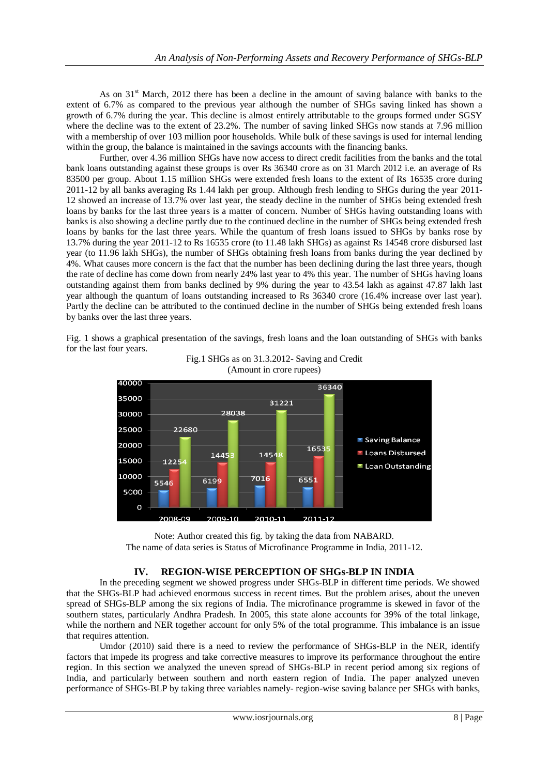As on  $31<sup>st</sup>$  March, 2012 there has been a decline in the amount of saving balance with banks to the extent of 6.7% as compared to the previous year although the number of SHGs saving linked has shown a growth of 6.7% during the year. This decline is almost entirely attributable to the groups formed under SGSY where the decline was to the extent of 23.2%. The number of saving linked SHGs now stands at 7.96 million with a membership of over 103 million poor households. While bulk of these savings is used for internal lending within the group, the balance is maintained in the savings accounts with the financing banks.

Further, over 4.36 million SHGs have now access to direct credit facilities from the banks and the total bank loans outstanding against these groups is over Rs 36340 crore as on 31 March 2012 i.e. an average of Rs 83500 per group. About 1.15 million SHGs were extended fresh loans to the extent of Rs 16535 crore during 2011-12 by all banks averaging Rs 1.44 lakh per group. Although fresh lending to SHGs during the year 2011- 12 showed an increase of 13.7% over last year, the steady decline in the number of SHGs being extended fresh loans by banks for the last three years is a matter of concern. Number of SHGs having outstanding loans with banks is also showing a decline partly due to the continued decline in the number of SHGs being extended fresh loans by banks for the last three years. While the quantum of fresh loans issued to SHGs by banks rose by 13.7% during the year 2011-12 to Rs 16535 crore (to 11.48 lakh SHGs) as against Rs 14548 crore disbursed last year (to 11.96 lakh SHGs), the number of SHGs obtaining fresh loans from banks during the year declined by 4%. What causes more concern is the fact that the number has been declining during the last three years, though the rate of decline has come down from nearly 24% last year to 4% this year. The number of SHGs having loans outstanding against them from banks declined by 9% during the year to 43.54 lakh as against 47.87 lakh last year although the quantum of loans outstanding increased to Rs 36340 crore (16.4% increase over last year). Partly the decline can be attributed to the continued decline in the number of SHGs being extended fresh loans by banks over the last three years.

Fig. 1 shows a graphical presentation of the savings, fresh loans and the loan outstanding of SHGs with banks for the last four years.



Fig.1 SHGs as on 31.3.2012- Saving and Credit (Amount in crore rupees)



### **IV. REGION-WISE PERCEPTION OF SHGs-BLP IN INDIA**

In the preceding segment we showed progress under SHGs-BLP in different time periods. We showed that the SHGs-BLP had achieved enormous success in recent times. But the problem arises, about the uneven spread of SHGs-BLP among the six regions of India. The microfinance programme is skewed in favor of the southern states, particularly Andhra Pradesh. In 2005, this state alone accounts for 39% of the total linkage, while the northern and NER together account for only 5% of the total programme. This imbalance is an issue that requires attention.

Umdor (2010) said there is a need to review the performance of SHGs-BLP in the NER, identify factors that impede its progress and take corrective measures to improve its performance throughout the entire region. In this section we analyzed the uneven spread of SHGs-BLP in recent period among six regions of India, and particularly between southern and north eastern region of India. The paper analyzed uneven performance of SHGs-BLP by taking three variables namely- region-wise saving balance per SHGs with banks,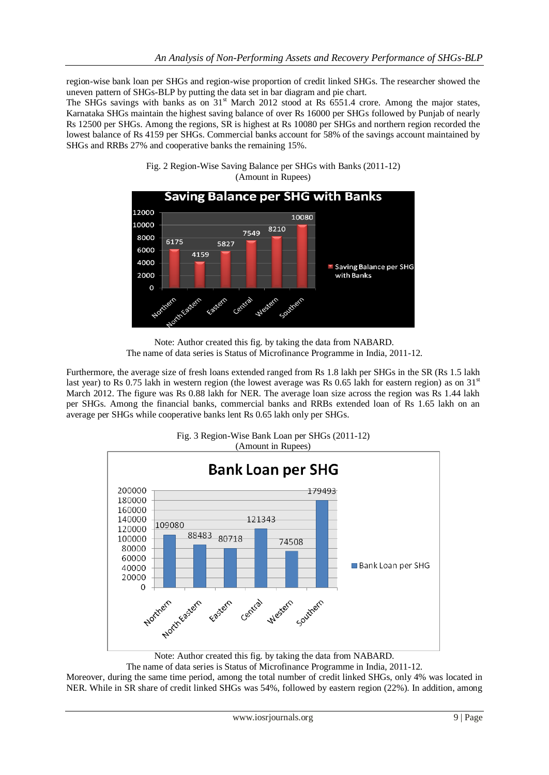region-wise bank loan per SHGs and region-wise proportion of credit linked SHGs. The researcher showed the uneven pattern of SHGs-BLP by putting the data set in bar diagram and pie chart.

The SHGs savings with banks as on 31<sup>st</sup> March 2012 stood at Rs 6551.4 crore. Among the major states, Karnataka SHGs maintain the highest saving balance of over Rs 16000 per SHGs followed by Punjab of nearly Rs 12500 per SHGs. Among the regions, SR is highest at Rs 10080 per SHGs and northern region recorded the lowest balance of Rs 4159 per SHGs. Commercial banks account for 58% of the savings account maintained by SHGs and RRBs 27% and cooperative banks the remaining 15%.



Fig. 2 Region-Wise Saving Balance per SHGs with Banks (2011-12) (Amount in Rupees)

Note: Author created this fig. by taking the data from NABARD. The name of data series is Status of Microfinance Programme in India, 2011-12.

Furthermore, the average size of fresh loans extended ranged from Rs 1.8 lakh per SHGs in the SR (Rs 1.5 lakh last year) to Rs 0.75 lakh in western region (the lowest average was Rs 0.65 lakh for eastern region) as on  $31<sup>st</sup>$ March 2012. The figure was Rs 0.88 lakh for NER. The average loan size across the region was Rs 1.44 lakh per SHGs. Among the financial banks, commercial banks and RRBs extended loan of Rs 1.65 lakh on an average per SHGs while cooperative banks lent Rs 0.65 lakh only per SHGs.



Fig. 3 Region-Wise Bank Loan per SHGs (2011-12) (Amount in Rupees)

Note: Author created this fig. by taking the data from NABARD.

The name of data series is Status of Microfinance Programme in India, 2011-12.

Moreover, during the same time period, among the total number of credit linked SHGs, only 4% was located in NER. While in SR share of credit linked SHGs was 54%, followed by eastern region (22%). In addition, among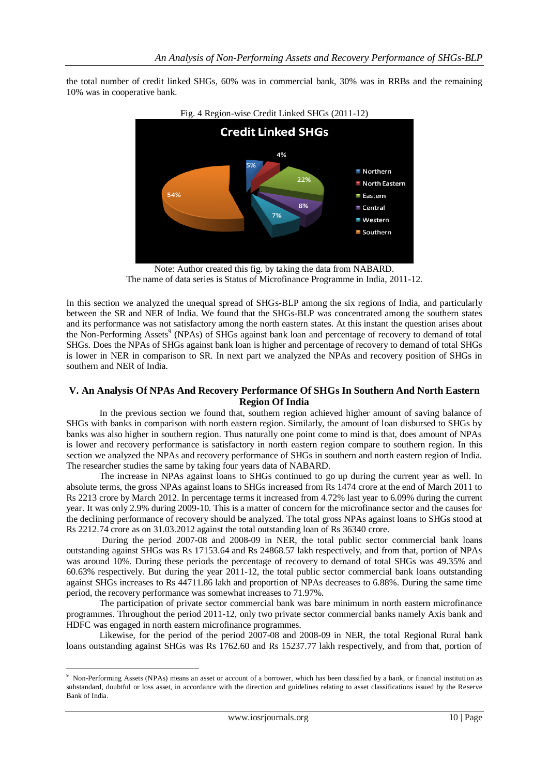the total number of credit linked SHGs, 60% was in commercial bank, 30% was in RRBs and the remaining 10% was in cooperative bank.



Note: Author created this fig. by taking the data from NABARD. The name of data series is Status of Microfinance Programme in India, 2011-12.

In this section we analyzed the unequal spread of SHGs-BLP among the six regions of India, and particularly between the SR and NER of India. We found that the SHGs-BLP was concentrated among the southern states and its performance was not satisfactory among the north eastern states. At this instant the question arises about the Non-Performing Assets<sup>9</sup> (NPAs) of SHGs against bank loan and percentage of recovery to demand of total SHGs. Does the NPAs of SHGs against bank loan is higher and percentage of recovery to demand of total SHGs is lower in NER in comparison to SR. In next part we analyzed the NPAs and recovery position of SHGs in southern and NER of India.

### **V. An Analysis Of NPAs And Recovery Performance Of SHGs In Southern And North Eastern Region Of India**

In the previous section we found that, southern region achieved higher amount of saving balance of SHGs with banks in comparison with north eastern region. Similarly, the amount of loan disbursed to SHGs by banks was also higher in southern region. Thus naturally one point come to mind is that, does amount of NPAs is lower and recovery performance is satisfactory in north eastern region compare to southern region. In this section we analyzed the NPAs and recovery performance of SHGs in southern and north eastern region of India. The researcher studies the same by taking four years data of NABARD.

The increase in NPAs against loans to SHGs continued to go up during the current year as well. In absolute terms, the gross NPAs against loans to SHGs increased from Rs 1474 crore at the end of March 2011 to Rs 2213 crore by March 2012. In percentage terms it increased from 4.72% last year to 6.09% during the current year. It was only 2.9% during 2009-10. This is a matter of concern for the microfinance sector and the causes for the declining performance of recovery should be analyzed. The total gross NPAs against loans to SHGs stood at Rs 2212.74 crore as on 31.03.2012 against the total outstanding loan of Rs 36340 crore.

During the period 2007-08 and 2008-09 in NER, the total public sector commercial bank loans outstanding against SHGs was Rs 17153.64 and Rs 24868.57 lakh respectively, and from that, portion of NPAs was around 10%. During these periods the percentage of recovery to demand of total SHGs was 49.35% and 60.63% respectively. But during the year 2011-12, the total public sector commercial bank loans outstanding against SHGs increases to Rs 44711.86 lakh and proportion of NPAs decreases to 6.88%. During the same time period, the recovery performance was somewhat increases to 71.97%.

The participation of private sector commercial bank was bare minimum in north eastern microfinance programmes. Throughout the period 2011-12, only two private sector commercial banks namely Axis bank and HDFC was engaged in north eastern microfinance programmes.

Likewise, for the period of the period 2007-08 and 2008-09 in NER, the total Regional Rural bank loans outstanding against SHGs was Rs 1762.60 and Rs 15237.77 lakh respectively, and from that, portion of

1

<sup>9</sup> Non-Performing Assets (NPAs) means an asset or account of a borrower, which has been classified by a bank, or financial institution as substandard, doubtful or loss asset, in accordance with the direction and guidelines relating to asset classifications issued by the Reserve Bank of India.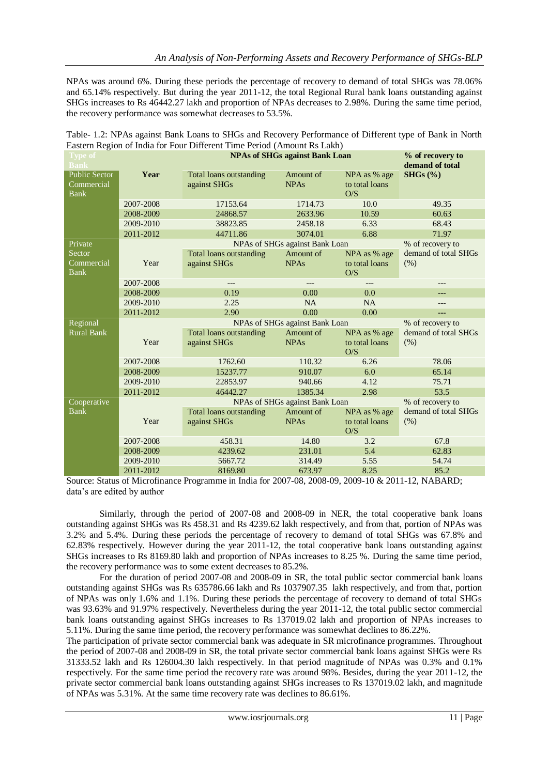NPAs was around 6%. During these periods the percentage of recovery to demand of total SHGs was 78.06% and 65.14% respectively. But during the year 2011-12, the total Regional Rural bank loans outstanding against SHGs increases to Rs 46442.27 lakh and proportion of NPAs decreases to 2.98%. During the same time period, the recovery performance was somewhat decreases to 53.5%.

| Table 1.2. The As against Dain Louis to serve and Recovery Ferrormance of Directific (ype of Dain, in Forth |                                                    |                                         |                          |                                       |          |  |
|-------------------------------------------------------------------------------------------------------------|----------------------------------------------------|-----------------------------------------|--------------------------|---------------------------------------|----------|--|
| Eastern Region of India for Four Different Time Period (Amount Rs Lakh)                                     |                                                    |                                         |                          |                                       |          |  |
| <b>Type of</b><br><b>Bank</b>                                                                               |                                                    | % of recovery to<br>demand of total     |                          |                                       |          |  |
| Public Sector<br>Commercial<br>Bank                                                                         | Year                                               | Total loans outstanding<br>against SHGs | Amount of<br><b>NPAs</b> | NPA as % age<br>to total loans<br>O/S | SHGs (%) |  |
|                                                                                                             | 2007-2008                                          | 17153.64                                | 1714.73                  | 10.0                                  | 49.35    |  |
|                                                                                                             | 2008-2009                                          | 24868.57                                | 2633.96                  | 10.59                                 | 60.63    |  |
|                                                                                                             | 2009-2010                                          | 38823.85                                | 2458.18                  | 6.33                                  | 68.43    |  |
|                                                                                                             | 2011-2012                                          | 44711.86                                | 3074.01                  | 6.88                                  | 71.97    |  |
| Private                                                                                                     | NPAs of SHGs against Bank Loan<br>% of recovery to |                                         |                          |                                       |          |  |

Amount of NPAs

Amount of NPAs

Amount of NPAs

2007-2008 --- --- --- ---

2009-2010 2.25 NA NA --- $2011-2012$  2.90 0.00 0.00 ---

2007-2008 1762.60 110.32 6.26 78.06 2008-2009 15237.77 910.07 6.0 65.14 2009-2010 22853.97 940.66 4.12 75.71 2011-2012 46442.27 1385.34 2.98 53.5

2007-2008 458.31 14.80 3.2 67.8 2008-2009 4239.62 231.01 5.4 62.83<br>2009-2010 5667.72 314.49 5.55 54.74 2009-2010 5667.72 314.49 5.55 54.74

Total loans outstanding

Total loans outstanding

Total loans outstanding

2008-2009 0.19 0.00 0.00 0.0

against SHGs

against SHGs

against SHGs

Sector Commercial Bank

Regional Rural Bank

**Cooperative** Bank

Year

Year

Year

| Table- 1.2: NPAs against Bank Loans to SHGs and Recovery Performance of Different type of Bank in North |  |  |
|---------------------------------------------------------------------------------------------------------|--|--|
| Eastern Region of India for Four Different Time Period (Amount Rs Lakh)                                 |  |  |

|                             | $2011 - 2012$ | 8169.80                                                                                            | 673.97 | 8.25 | 85.2 |
|-----------------------------|---------------|----------------------------------------------------------------------------------------------------|--------|------|------|
|                             |               | Source: Status of Microfinance Programme in India for 2007-08, 2008-09, 2009-10 & 2011-12, NABARD; |        |      |      |
| data's are edited by author |               |                                                                                                    |        |      |      |

Similarly, through the period of 2007-08 and 2008-09 in NER, the total cooperative bank loans outstanding against SHGs was Rs 458.31 and Rs 4239.62 lakh respectively, and from that, portion of NPAs was 3.2% and 5.4%. During these periods the percentage of recovery to demand of total SHGs was 67.8% and 62.83% respectively. However during the year 2011-12, the total cooperative bank loans outstanding against SHGs increases to Rs 8169.80 lakh and proportion of NPAs increases to 8.25 %. During the same time period, the recovery performance was to some extent decreases to 85.2%.

For the duration of period 2007-08 and 2008-09 in SR, the total public sector commercial bank loans outstanding against SHGs was Rs 635786.66 lakh and Rs 1037907.35 lakh respectively, and from that, portion of NPAs was only 1.6% and 1.1%. During these periods the percentage of recovery to demand of total SHGs was 93.63% and 91.97% respectively. Nevertheless during the year 2011-12, the total public sector commercial bank loans outstanding against SHGs increases to Rs 137019.02 lakh and proportion of NPAs increases to 5.11%. During the same time period, the recovery performance was somewhat declines to 86.22%.

The participation of private sector commercial bank was adequate in SR microfinance programmes. Throughout the period of 2007-08 and 2008-09 in SR, the total private sector commercial bank loans against SHGs were Rs 31333.52 lakh and Rs 126004.30 lakh respectively. In that period magnitude of NPAs was 0.3% and 0.1% respectively. For the same time period the recovery rate was around 98%. Besides, during the year 2011-12, the private sector commercial bank loans outstanding against SHGs increases to Rs 137019.02 lakh, and magnitude of NPAs was 5.31%. At the same time recovery rate was declines to 86.61%.

demand of total SHGs

demand of total SHGs

demand of total SHGs

(%)

(%)

(%)

NPA as % age to total loans O/S

NPA as % age to total loans  $O/S$ 

NPA as % age to total loans  $O/S$ 

NPAs of SHGs against Bank Loan % of recovery to

NPAs of SHGs against Bank Loan % of recovery to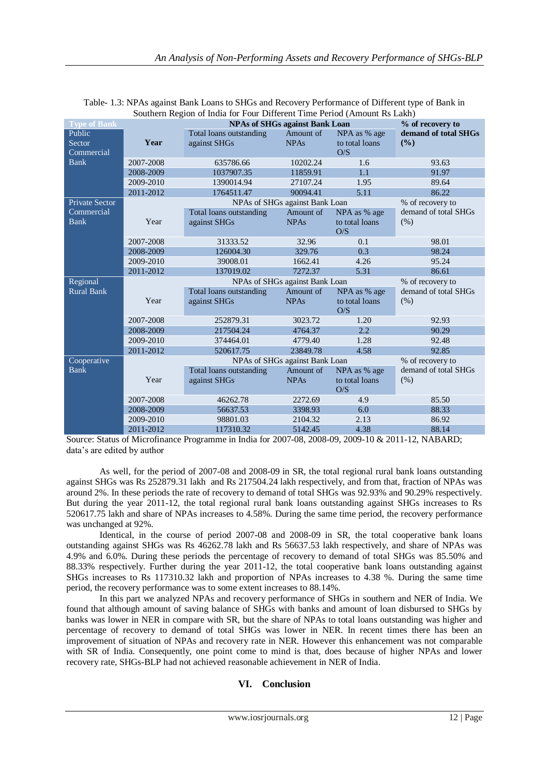|                       |           | Southern Region of maia for Four Different Time Period (Amount RS Lakh) |                                |                       |                      |  |
|-----------------------|-----------|-------------------------------------------------------------------------|--------------------------------|-----------------------|----------------------|--|
| <b>Type of Bank</b>   |           | <b>NPAs of SHGs against Bank Loan</b>                                   |                                |                       | % of recovery to     |  |
| Public                |           | Total loans outstanding                                                 | Amount of                      | NPA as % age          | demand of total SHGs |  |
| Sector                | Year      | against SHGs                                                            | <b>NPAs</b>                    | to total loans        | (%)                  |  |
| Commercial            |           |                                                                         |                                | O/S                   |                      |  |
| <b>Bank</b>           | 2007-2008 | 635786.66                                                               | 10202.24                       | 1.6                   | 93.63                |  |
|                       | 2008-2009 | 1037907.35                                                              | 11859.91                       | 1.1                   | 91.97                |  |
|                       | 2009-2010 | 1390014.94                                                              | 27107.24                       | 1.95                  | 89.64                |  |
|                       | 2011-2012 | 1764511.47                                                              | 90094.41                       | 5.11                  | 86.22                |  |
| <b>Private Sector</b> |           |                                                                         | NPAs of SHGs against Bank Loan |                       | % of recovery to     |  |
| Commercial            |           | Total loans outstanding                                                 | Amount of                      | NPA as % age          | demand of total SHGs |  |
| <b>Bank</b>           | Year      | against SHGs                                                            | <b>NPAs</b>                    | to total loans<br>O/S | (% )                 |  |
|                       | 2007-2008 | 31333.52                                                                | 32.96                          | 0.1                   | 98.01                |  |
|                       | 2008-2009 | 126004.30                                                               | 329.76                         | 0.3                   | 98.24                |  |
|                       | 2009-2010 | 39008.01                                                                | 1662.41                        | 4.26                  | 95.24                |  |
|                       | 2011-2012 | 137019.02                                                               | 7272.37                        | 5.31                  | 86.61                |  |
| Regional              |           | % of recovery to                                                        |                                |                       |                      |  |
| <b>Rural Bank</b>     |           | Total loans outstanding                                                 | Amount of                      | NPA as % age          | demand of total SHGs |  |
|                       | Year      | against SHGs                                                            | <b>NPAs</b>                    | to total loans<br>O/S | (% )                 |  |
|                       | 2007-2008 | 252879.31                                                               | 3023.72                        | 1.20                  | 92.93                |  |
|                       | 2008-2009 | 217504.24                                                               | 4764.37                        | 2.2                   | 90.29                |  |
|                       | 2009-2010 | 374464.01                                                               | 4779.40                        | 1.28                  | 92.48                |  |
|                       | 2011-2012 | 520617.75                                                               | 23849.78                       | 4.58                  | 92.85                |  |
| Cooperative           |           |                                                                         | NPAs of SHGs against Bank Loan |                       | % of recovery to     |  |
| <b>Bank</b>           |           | Total loans outstanding                                                 | Amount of                      | NPA as % age          | demand of total SHGs |  |
|                       | Year      | against SHGs                                                            | <b>NPAs</b>                    | to total loans<br>O/S | (% )                 |  |
|                       | 2007-2008 | 46262.78                                                                | 2272.69                        | 4.9                   | 85.50                |  |
|                       | 2008-2009 | 56637.53                                                                | 3398.93                        | 6.0                   | 88.33                |  |
|                       |           |                                                                         |                                |                       |                      |  |
|                       | 2009-2010 | 98801.03                                                                | 2104.32                        | 2.13                  | 86.92                |  |

| Table- 1.3: NPAs against Bank Loans to SHGs and Recovery Performance of Different type of Bank in |
|---------------------------------------------------------------------------------------------------|
| Southern Region of India for Four Different Time Period (Amount Rs Lakh)                          |

Source: Status of Microfinance Programme in India for 2007-08, 2008-09, 2009-10 & 2011-12, NABARD; data's are edited by author

As well, for the period of 2007-08 and 2008-09 in SR, the total regional rural bank loans outstanding against SHGs was Rs 252879.31 lakh and Rs 217504.24 lakh respectively, and from that, fraction of NPAs was around 2%. In these periods the rate of recovery to demand of total SHGs was 92.93% and 90.29% respectively. But during the year 2011-12, the total regional rural bank loans outstanding against SHGs increases to Rs 520617.75 lakh and share of NPAs increases to 4.58%. During the same time period, the recovery performance was unchanged at 92%.

Identical, in the course of period 2007-08 and 2008-09 in SR, the total cooperative bank loans outstanding against SHGs was Rs 46262.78 lakh and Rs 56637.53 lakh respectively, and share of NPAs was 4.9% and 6.0%. During these periods the percentage of recovery to demand of total SHGs was 85.50% and 88.33% respectively. Further during the year 2011-12, the total cooperative bank loans outstanding against SHGs increases to Rs 117310.32 lakh and proportion of NPAs increases to 4.38 %. During the same time period, the recovery performance was to some extent increases to 88.14%.

In this part we analyzed NPAs and recovery performance of SHGs in southern and NER of India. We found that although amount of saving balance of SHGs with banks and amount of loan disbursed to SHGs by banks was lower in NER in compare with SR, but the share of NPAs to total loans outstanding was higher and percentage of recovery to demand of total SHGs was lower in NER. In recent times there has been an improvement of situation of NPAs and recovery rate in NER. However this enhancement was not comparable with SR of India. Consequently, one point come to mind is that, does because of higher NPAs and lower recovery rate, SHGs-BLP had not achieved reasonable achievement in NER of India.

### **VI. Conclusion**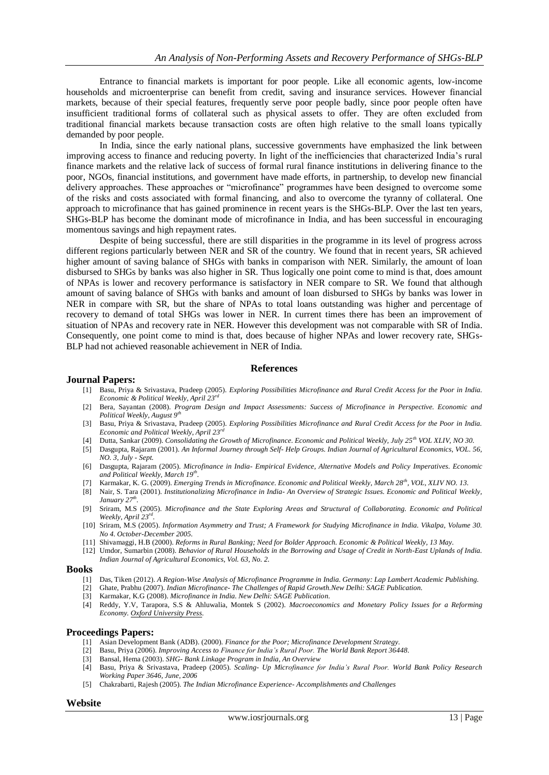Entrance to financial markets is important for poor people. Like all economic agents, low-income households and microenterprise can benefit from credit, saving and insurance services. However financial markets, because of their special features, frequently serve poor people badly, since poor people often have insufficient traditional forms of collateral such as physical assets to offer. They are often excluded from traditional financial markets because transaction costs are often high relative to the small loans typically demanded by poor people.

In India, since the early national plans, successive governments have emphasized the link between improving access to finance and reducing poverty. In light of the inefficiencies that characterized India's rural finance markets and the relative lack of success of formal rural finance institutions in delivering finance to the poor, NGOs, financial institutions, and government have made efforts, in partnership, to develop new financial delivery approaches. These approaches or "microfinance" programmes have been designed to overcome some of the risks and costs associated with formal financing, and also to overcome the tyranny of collateral. One approach to microfinance that has gained prominence in recent years is the SHGs-BLP. Over the last ten years, SHGs-BLP has become the dominant mode of microfinance in India, and has been successful in encouraging momentous savings and high repayment rates.

Despite of being successful, there are still disparities in the programme in its level of progress across different regions particularly between NER and SR of the country. We found that in recent years, SR achieved higher amount of saving balance of SHGs with banks in comparison with NER. Similarly, the amount of loan disbursed to SHGs by banks was also higher in SR. Thus logically one point come to mind is that, does amount of NPAs is lower and recovery performance is satisfactory in NER compare to SR. We found that although amount of saving balance of SHGs with banks and amount of loan disbursed to SHGs by banks was lower in NER in compare with SR, but the share of NPAs to total loans outstanding was higher and percentage of recovery to demand of total SHGs was lower in NER. In current times there has been an improvement of situation of NPAs and recovery rate in NER. However this development was not comparable with SR of India. Consequently, one point come to mind is that, does because of higher NPAs and lower recovery rate, SHGs-BLP had not achieved reasonable achievement in NER of India.

### **References**

### **Journal Papers:**

- [1] Basu, Priya & Srivastava, Pradeep (2005). *Exploring Possibilities Microfinance and Rural Credit Access for the Poor in India. Economic & Political Weekly, April 23rd*
- [2] Bera, Sayantan (2008). *Program Design and Impact Assessments: Success of Microfinance in Perspective. Economic and Political Weekly, August 9th*
- [3] Basu, Priya & Srivastava, Pradeep (2005). *Exploring Possibilities Microfinance and Rural Credit Access for the Poor in India. Economic and Political Weekly, April* 23<sup>*n*</sup>
- [4] Dutta, Sankar (2009). *Consolidating the Growth of Microfinance. Economic and Political Weekly, July 25th VOL XLIV, NO 30.*
- [5] Dasgupta, Rajaram (2001). *An Informal Journey through Self- Help Groups. Indian Journal of Agricultural Economics, VOL. 56, NO. 3, July - Sept.*
- [6] Dasgupta, Rajaram (2005). *Microfinance in India- Empirical Evidence, Alternative Models and Policy Imperatives. Economic and Political Weekly, March 19th .*
- [7] Karmakar, K. G. (2009). *Emerging Trends in Microfinance. Economic and Political Weekly, March 28th, VOL, XLIV NO. 13.*
- [8] Nair, S. Tara (2001). *Institutionalizing Microfinance in India- An Overview of Strategic Issues. Economic and Political Weekly, January 27th .*
- [9] Sriram, M.S (2005). *Microfinance and the State Exploring Areas and Structural of Collaborating. Economic and Political Weekly, April 23rd .*
- [10] Sriram, M.S (2005). *Information Asymmetry and Trust; A Framework for Studying Microfinance in India. Vikalpa, Volume 30. No 4. October-December 2005.*
- [11] Shivamaggi, H.B (2000). *Reforms in Rural Banking; Need for Bolder Approach. Economic & Political Weekly, 13 May.*
- [12] Umdor, Sumarbin (2008). *Behavior of Rural Households in the Borrowing and Usage of Credit in North-East Uplands of India. Indian Journal of Agricultural Economics, Vol. 63, No. 2.*

### **Books**

- [1] Das, Tiken (2012). *A Region-Wise Analysis of Microfinance Programme in India. Germany: Lap Lambert Academic Publishing.*
- [2] Ghate, Prabhu (2007). *Indian Microfinance- The Challenges of Rapid Growth.New Delhi: SAGE Publication.*
- [3] Karmakar, K.G (2008). *Microfinance in India. New Delhi: SAGE Publication.*
- [4] Reddy, Y.V, Tarapora, S.S & Ahluwalia, Montek S (2002). *Macroeconomics and Monetary Policy Issues for a Reforming Economy. Oxford University Press.*

#### **Proceedings Papers:**

- [1] Asian Development Bank (ADB). (2000). *Finance for the Poor; Microfinance Development Strategy.*
- [2] Basu, Priya (2006). *Improving Access to Finance for India's Rural Poor. The World Bank Report 36448.*
- [3] Bansal, Hema (2003). *SHG- Bank Linkage Program in India, An Overview*
- [4] Basu, Priya & Srivastava, Pradeep (2005). *Scaling- Up Microfinance for India's Rural Poor. World Bank Policy Research Working Paper 3646, June, 2006*
- [5] Chakrabarti, Rajesh (2005). *The Indian Microfinance Experience- Accomplishments and Challenges*

#### **Website**